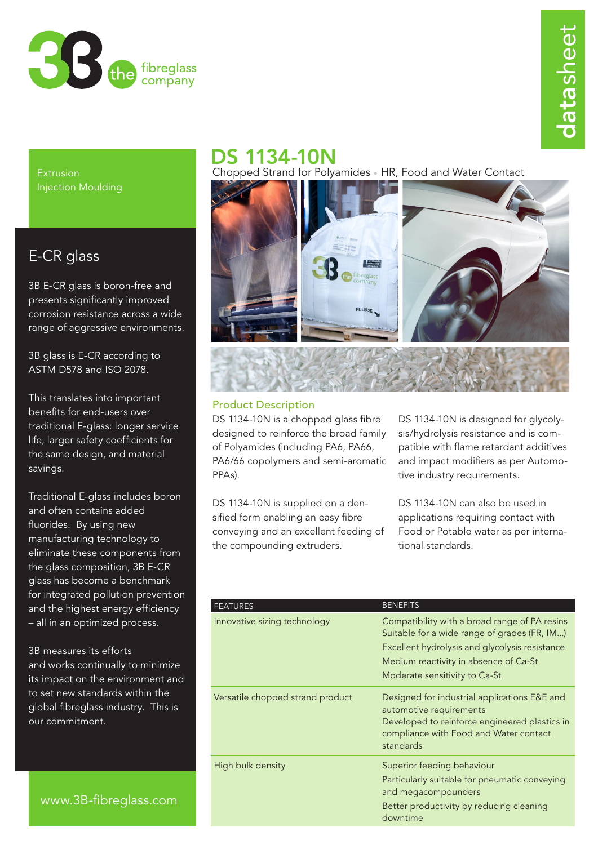

Extrusion Injection Moulding

## E-CR glass

3B E-CR glass is boron-free and presents significantly improved corrosion resistance across a wide range of aggressive environments.

3B glass is E-CR according to ASTM D578 and ISO 2078.

This translates into important benefits for end-users over traditional E-glass: longer service life, larger safety coefficients for the same design, and material savings.

Traditional E-glass includes boron and often contains added fluorides. By using new manufacturing technology to eliminate these components from the glass composition, 3B E-CR glass has become a benchmark for integrated pollution prevention and the highest energy efficiency – all in an optimized process.

3B measures its efforts and works continually to minimize its impact on the environment and to set new standards within the global fibreglass industry. This is our commitment.

# DS 1134-10N

Chopped Strand for Polyamides • HR, Food and Water Contact



### Product Description

DS 1134-10N is a chopped glass fibre designed to reinforce the broad family of Polyamides (including PA6, PA66, PA6/66 copolymers and semi-aromatic PPAs).

DS 1134-10N is supplied on a densified form enabling an easy fibre conveying and an excellent feeding of the compounding extruders.

DS 1134-10N is designed for glycolysis/hydrolysis resistance and is compatible with flame retardant additives and impact modifiers as per Automotive industry requirements.

DS 1134-10N can also be used in applications requiring contact with Food or Potable water as per international standards.

|  | <b>FEATURES</b>                  | <b>BENEFITS</b>                                                                                                                                                                                                           |
|--|----------------------------------|---------------------------------------------------------------------------------------------------------------------------------------------------------------------------------------------------------------------------|
|  | Innovative sizing technology     | Compatibility with a broad range of PA resins<br>Suitable for a wide range of grades (FR, IM)<br>Excellent hydrolysis and glycolysis resistance<br>Medium reactivity in absence of Ca-St<br>Moderate sensitivity to Ca-St |
|  | Versatile chopped strand product | Designed for industrial applications E&E and<br>automotive requirements<br>Developed to reinforce engineered plastics in<br>compliance with Food and Water contact<br>standards                                           |
|  | High bulk density                | Superior feeding behaviour<br>Particularly suitable for pneumatic conveying<br>and megacompounders<br>Better productivity by reducing cleaning<br>downtime                                                                |